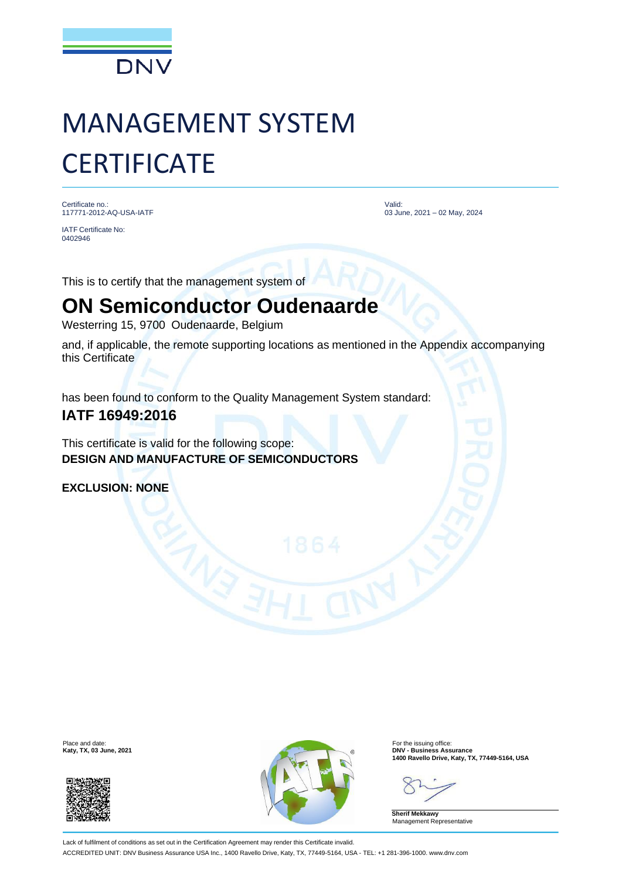

# MANAGEMENT SYSTEM **CERTIFICATE**

Certificate no.: 117771-2012-AQ-USA-IATF

IATF Certificate No: 0402946

Valid: 03 June, 2021 – 02 May, 2024

This is to certify that the management system of

# **ON Semiconductor Oudenaarde**

Westerring 15, 9700 Oudenaarde, Belgium

and, if applicable, the remote supporting locations as mentioned in the Appendix accompanying this Certificate

has been found to conform to the Quality Management System standard:

## **IATF 16949:2016**

This certificate is valid for the following scope: **DESIGN AND MANUFACTURE OF SEMICONDUCTORS**

**EXCLUSION: NONE**

Place and date:<br>Katy, TX, 03 June, 2021





**Katy, TX, 03 June, 2021 DNV - Business Assurance 1400 Ravello Drive, Katy, TX, 77449-5164, USA**

**Sherif Mekkawy** Management Representative

Lack of fulfilment of conditions as set out in the Certification Agreement may render this Certificate invalid. ACCREDITED UNIT: DNV Business Assurance USA Inc., 1400 Ravello Drive, Katy, TX, 77449-5164, USA - TEL: +1 281-396-1000. [www.dnv.com](http://www.dnv.com/)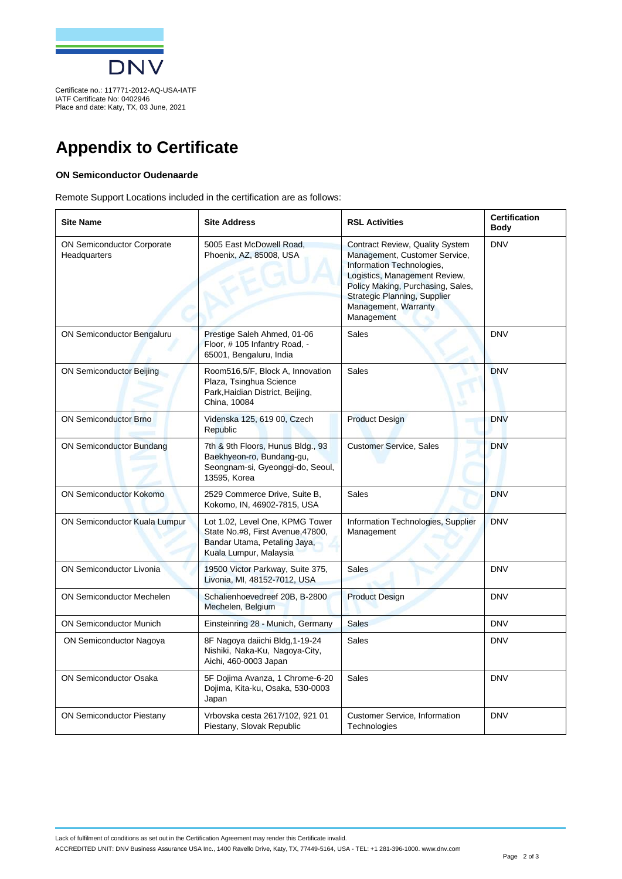

**Appendix to Certificate**

#### **ON Semiconductor Oudenaarde**

Remote Support Locations included in the certification are as follows:

| <b>Site Name</b>                                  | <b>Site Address</b>                                                                                                            | <b>RSL Activities</b>                                                                                                                                                                                                                            | <b>Certification</b><br><b>Body</b> |
|---------------------------------------------------|--------------------------------------------------------------------------------------------------------------------------------|--------------------------------------------------------------------------------------------------------------------------------------------------------------------------------------------------------------------------------------------------|-------------------------------------|
| <b>ON Semiconductor Corporate</b><br>Headquarters | 5005 East McDowell Road,<br>Phoenix, AZ, 85008, USA                                                                            | Contract Review, Quality System<br>Management, Customer Service,<br>Information Technologies,<br>Logistics, Management Review,<br>Policy Making, Purchasing, Sales,<br><b>Strategic Planning, Supplier</b><br>Management, Warranty<br>Management | <b>DNV</b>                          |
| ON Semiconductor Bengaluru                        | Prestige Saleh Ahmed, 01-06<br>Floor, #105 Infantry Road, -<br>65001, Bengaluru, India                                         | <b>Sales</b>                                                                                                                                                                                                                                     | <b>DNV</b>                          |
| <b>ON Semiconductor Beijing</b>                   | Room516,5/F, Block A, Innovation<br>Plaza, Tsinghua Science<br>Park, Haidian District, Beijing,<br>China, 10084                | Sales                                                                                                                                                                                                                                            | <b>DNV</b>                          |
| <b>ON Semiconductor Brno</b>                      | Videnska 125, 619 00, Czech<br>Republic                                                                                        | <b>Product Design</b>                                                                                                                                                                                                                            | <b>DNV</b>                          |
| <b>ON Semiconductor Bundang</b>                   | 7th & 9th Floors, Hunus Bldg., 93<br>Baekhyeon-ro, Bundang-gu,<br>Seongnam-si, Gyeonggi-do, Seoul,<br>13595, Korea             | <b>Customer Service, Sales</b>                                                                                                                                                                                                                   | <b>DNV</b>                          |
| ON Semiconductor Kokomo                           | 2529 Commerce Drive, Suite B,<br>Kokomo, IN, 46902-7815, USA                                                                   | <b>Sales</b>                                                                                                                                                                                                                                     | <b>DNV</b>                          |
| ON Semiconductor Kuala Lumpur                     | Lot 1.02, Level One, KPMG Tower<br>State No.#8, First Avenue, 47800,<br>Bandar Utama, Petaling Jaya,<br>Kuala Lumpur, Malaysia | Information Technologies, Supplier<br>Management                                                                                                                                                                                                 | <b>DNV</b>                          |
| ON Semiconductor Livonia                          | 19500 Victor Parkway, Suite 375,<br>Livonia, MI, 48152-7012, USA                                                               | <b>Sales</b>                                                                                                                                                                                                                                     | <b>DNV</b>                          |
| <b>ON Semiconductor Mechelen</b>                  | Schalienhoevedreef 20B, B-2800<br>Mechelen, Belgium                                                                            | <b>Product Design</b>                                                                                                                                                                                                                            | <b>DNV</b>                          |
| <b>ON Semiconductor Munich</b>                    | Einsteinring 28 - Munich, Germany                                                                                              | <b>Sales</b>                                                                                                                                                                                                                                     | <b>DNV</b>                          |
| ON Semiconductor Nagoya                           | 8F Nagoya daiichi Bldg, 1-19-24<br>Nishiki, Naka-Ku, Nagoya-City,<br>Aichi, 460-0003 Japan                                     | Sales                                                                                                                                                                                                                                            | <b>DNV</b>                          |
| <b>ON Semiconductor Osaka</b>                     | 5F Dojima Avanza, 1 Chrome-6-20<br>Dojima, Kita-ku, Osaka, 530-0003<br>Japan                                                   | <b>Sales</b>                                                                                                                                                                                                                                     | <b>DNV</b>                          |
| <b>ON Semiconductor Piestany</b>                  | Vrbovska cesta 2617/102, 921 01<br>Piestany, Slovak Republic                                                                   | <b>Customer Service, Information</b><br>Technologies                                                                                                                                                                                             | <b>DNV</b>                          |